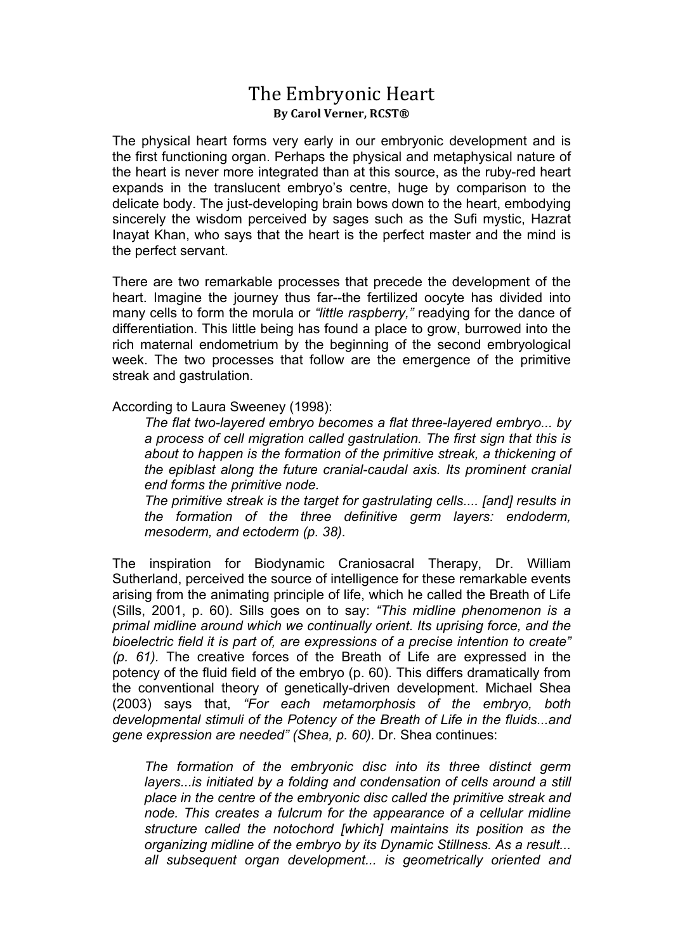## The Embryonic Heart **By Carol Verner, RCST®**

The physical heart forms very early in our embryonic development and is the first functioning organ. Perhaps the physical and metaphysical nature of the heart is never more integrated than at this source, as the ruby-red heart expands in the translucent embryo's centre, huge by comparison to the delicate body. The just-developing brain bows down to the heart, embodying sincerely the wisdom perceived by sages such as the Sufi mystic, Hazrat Inayat Khan, who says that the heart is the perfect master and the mind is the perfect servant.

There are two remarkable processes that precede the development of the heart. Imagine the journey thus far--the fertilized oocyte has divided into many cells to form the morula or *"little raspberry,"* readying for the dance of differentiation. This little being has found a place to grow, burrowed into the rich maternal endometrium by the beginning of the second embryological week. The two processes that follow are the emergence of the primitive streak and gastrulation.

According to Laura Sweeney (1998):

*The flat two-layered embryo becomes a flat three-layered embryo... by a process of cell migration called gastrulation. The first sign that this is about to happen is the formation of the primitive streak, a thickening of the epiblast along the future cranial-caudal axis. Its prominent cranial end forms the primitive node.* 

*The primitive streak is the target for gastrulating cells.... [and] results in the formation of the three definitive germ layers: endoderm, mesoderm, and ectoderm (p. 38).* 

The inspiration for Biodynamic Craniosacral Therapy, Dr. William Sutherland, perceived the source of intelligence for these remarkable events arising from the animating principle of life, which he called the Breath of Life (Sills, 2001, p. 60). Sills goes on to say: *"This midline phenomenon is a primal midline around which we continually orient. Its uprising force, and the bioelectric field it is part of, are expressions of a precise intention to create" (p. 61).* The creative forces of the Breath of Life are expressed in the potency of the fluid field of the embryo (p. 60). This differs dramatically from the conventional theory of genetically-driven development. Michael Shea (2003) says that, *"For each metamorphosis of the embryo, both developmental stimuli of the Potency of the Breath of Life in the fluids...and gene expression are needed" (Shea, p. 60).* Dr. Shea continues:

*The formation of the embryonic disc into its three distinct germ layers...is initiated by a folding and condensation of cells around a still place in the centre of the embryonic disc called the primitive streak and node. This creates a fulcrum for the appearance of a cellular midline structure called the notochord [which] maintains its position as the organizing midline of the embryo by its Dynamic Stillness. As a result... all subsequent organ development... is geometrically oriented and*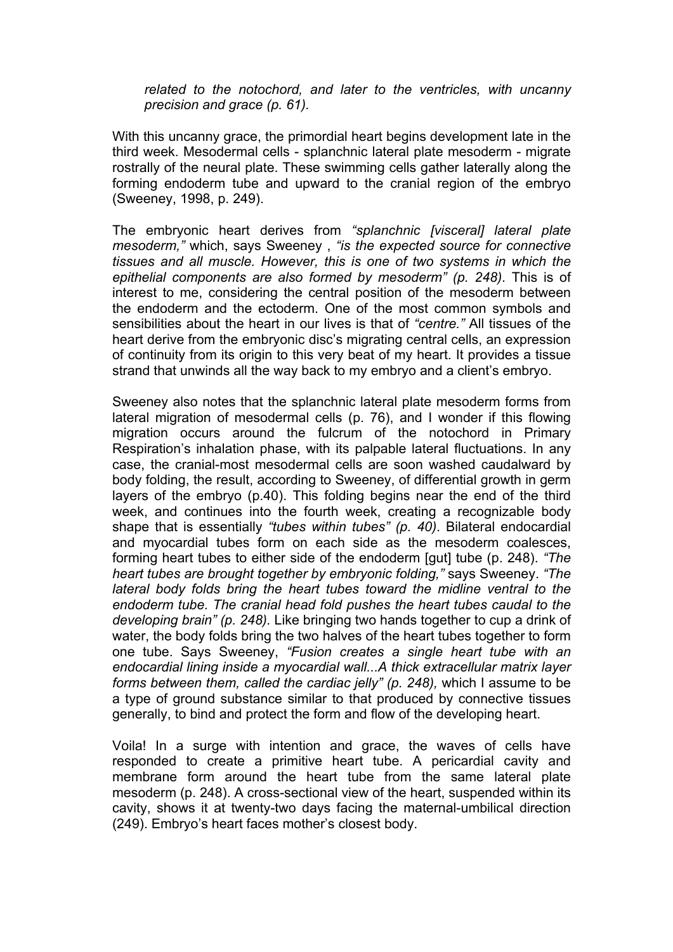*related to the notochord, and later to the ventricles, with uncanny precision and grace (p. 61).* 

With this uncanny grace, the primordial heart begins development late in the third week. Mesodermal cells - splanchnic lateral plate mesoderm - migrate rostrally of the neural plate. These swimming cells gather laterally along the forming endoderm tube and upward to the cranial region of the embryo (Sweeney, 1998, p. 249).

The embryonic heart derives from *"splanchnic [visceral] lateral plate mesoderm,"* which, says Sweeney , *"is the expected source for connective tissues and all muscle. However, this is one of two systems in which the epithelial components are also formed by mesoderm" (p. 248)*. This is of interest to me, considering the central position of the mesoderm between the endoderm and the ectoderm. One of the most common symbols and sensibilities about the heart in our lives is that of *"centre."* All tissues of the heart derive from the embryonic disc's migrating central cells, an expression of continuity from its origin to this very beat of my heart. It provides a tissue strand that unwinds all the way back to my embryo and a client's embryo.

Sweeney also notes that the splanchnic lateral plate mesoderm forms from lateral migration of mesodermal cells (p. 76), and I wonder if this flowing migration occurs around the fulcrum of the notochord in Primary Respiration's inhalation phase, with its palpable lateral fluctuations. In any case, the cranial-most mesodermal cells are soon washed caudalward by body folding, the result, according to Sweeney, of differential growth in germ layers of the embryo (p.40). This folding begins near the end of the third week, and continues into the fourth week, creating a recognizable body shape that is essentially *"tubes within tubes" (p. 40)*. Bilateral endocardial and myocardial tubes form on each side as the mesoderm coalesces, forming heart tubes to either side of the endoderm [gut] tube (p. 248). *"The heart tubes are brought together by embryonic folding,"* says Sweeney. *"The lateral body folds bring the heart tubes toward the midline ventral to the endoderm tube. The cranial head fold pushes the heart tubes caudal to the developing brain" (p. 248).* Like bringing two hands together to cup a drink of water, the body folds bring the two halves of the heart tubes together to form one tube. Says Sweeney, *"Fusion creates a single heart tube with an endocardial lining inside a myocardial wall...A thick extracellular matrix layer forms between them, called the cardiac jelly" (p. 248),* which I assume to be a type of ground substance similar to that produced by connective tissues generally, to bind and protect the form and flow of the developing heart.

Voila! In a surge with intention and grace, the waves of cells have responded to create a primitive heart tube. A pericardial cavity and membrane form around the heart tube from the same lateral plate mesoderm (p. 248). A cross-sectional view of the heart, suspended within its cavity, shows it at twenty-two days facing the maternal-umbilical direction (249). Embryo's heart faces mother's closest body.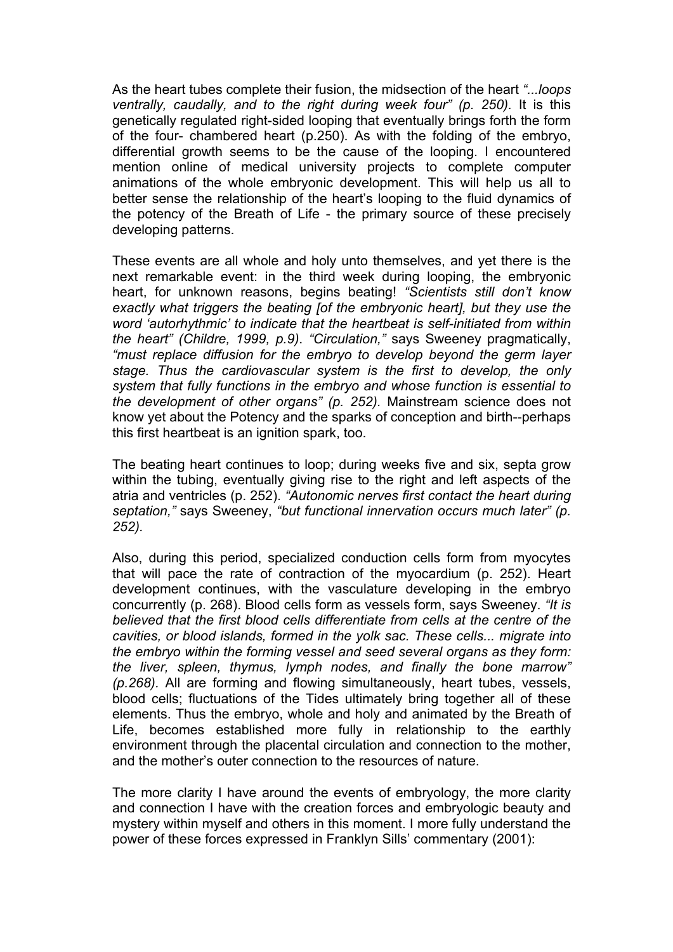As the heart tubes complete their fusion, the midsection of the heart *"...loops ventrally, caudally, and to the right during week four" (p. 250).* It is this genetically regulated right-sided looping that eventually brings forth the form of the four- chambered heart (p.250). As with the folding of the embryo, differential growth seems to be the cause of the looping. I encountered mention online of medical university projects to complete computer animations of the whole embryonic development. This will help us all to better sense the relationship of the heart's looping to the fluid dynamics of the potency of the Breath of Life - the primary source of these precisely developing patterns.

These events are all whole and holy unto themselves, and yet there is the next remarkable event: in the third week during looping, the embryonic heart, for unknown reasons, begins beating! *"Scientists still don't know exactly what triggers the beating [of the embryonic heart], but they use the word 'autorhythmic' to indicate that the heartbeat is self-initiated from within the heart" (Childre, 1999, p.9)*. *"Circulation,"* says Sweeney pragmatically, *"must replace diffusion for the embryo to develop beyond the germ layer stage. Thus the cardiovascular system is the first to develop, the only system that fully functions in the embryo and whose function is essential to the development of other organs" (p. 252).* Mainstream science does not know yet about the Potency and the sparks of conception and birth--perhaps this first heartbeat is an ignition spark, too.

The beating heart continues to loop; during weeks five and six, septa grow within the tubing, eventually giving rise to the right and left aspects of the atria and ventricles (p. 252). *"Autonomic nerves first contact the heart during septation,"* says Sweeney, *"but functional innervation occurs much later" (p. 252).* 

Also, during this period, specialized conduction cells form from myocytes that will pace the rate of contraction of the myocardium (p. 252). Heart development continues, with the vasculature developing in the embryo concurrently (p. 268). Blood cells form as vessels form, says Sweeney. *"It is believed that the first blood cells differentiate from cells at the centre of the cavities, or blood islands, formed in the yolk sac. These cells... migrate into the embryo within the forming vessel and seed several organs as they form: the liver, spleen, thymus, lymph nodes, and finally the bone marrow" (p.268).* All are forming and flowing simultaneously, heart tubes, vessels, blood cells; fluctuations of the Tides ultimately bring together all of these elements. Thus the embryo, whole and holy and animated by the Breath of Life, becomes established more fully in relationship to the earthly environment through the placental circulation and connection to the mother, and the mother's outer connection to the resources of nature.

The more clarity I have around the events of embryology, the more clarity and connection I have with the creation forces and embryologic beauty and mystery within myself and others in this moment. I more fully understand the power of these forces expressed in Franklyn Sills' commentary (2001):